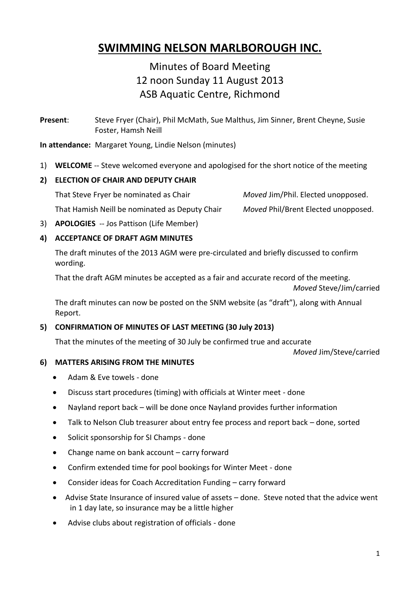# **SWIMMING NELSON MARLBOROUGH INC.**

## Minutes of Board Meeting 12 noon Sunday 11 August 2013 ASB Aquatic Centre, Richmond

**Present**: Steve Fryer (Chair), Phil McMath, Sue Malthus, Jim Sinner, Brent Cheyne, Susie Foster, Hamsh Neill

**In attendance:** Margaret Young, Lindie Nelson (minutes)

1) **WELCOME** -- Steve welcomed everyone and apologised for the short notice of the meeting

#### **2) ELECTION OF CHAIR AND DEPUTY CHAIR**

That Steve Fryer be nominated as Chair *Moved* Jim/Phil. Elected unopposed.

That Hamish Neill be nominated as Deputy Chair *Moved* Phil/Brent Elected unopposed.

3) **APOLOGIES** -- Jos Pattison (Life Member)

## **4) ACCEPTANCE OF DRAFT AGM MINUTES**

The draft minutes of the 2013 AGM were pre-circulated and briefly discussed to confirm wording.

That the draft AGM minutes be accepted as a fair and accurate record of the meeting.

*Moved* Steve/Jim/carried

The draft minutes can now be posted on the SNM website (as "draft"), along with Annual Report.

## **5) CONFIRMATION OF MINUTES OF LAST MEETING (30 July 2013)**

That the minutes of the meeting of 30 July be confirmed true and accurate

*Moved* Jim/Steve/carried

## **6) MATTERS ARISING FROM THE MINUTES**

- Adam & Eve towels done
- Discuss start procedures (timing) with officials at Winter meet done
- Nayland report back will be done once Nayland provides further information
- Talk to Nelson Club treasurer about entry fee process and report back done, sorted
- Solicit sponsorship for SI Champs done
- Change name on bank account carry forward
- Confirm extended time for pool bookings for Winter Meet done
- Consider ideas for Coach Accreditation Funding carry forward
- Advise State Insurance of insured value of assets done. Steve noted that the advice went in 1 day late, so insurance may be a little higher
- Advise clubs about registration of officials done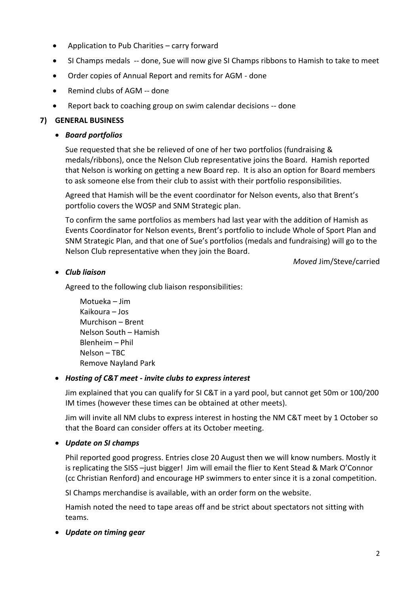- Application to Pub Charities carry forward
- SI Champs medals -- done, Sue will now give SI Champs ribbons to Hamish to take to meet
- Order copies of Annual Report and remits for AGM done
- Remind clubs of AGM -- done
- Report back to coaching group on swim calendar decisions -- done

## **7) GENERAL BUSINESS**

## *Board portfolios*

Sue requested that she be relieved of one of her two portfolios (fundraising & medals/ribbons), once the Nelson Club representative joins the Board. Hamish reported that Nelson is working on getting a new Board rep. It is also an option for Board members to ask someone else from their club to assist with their portfolio responsibilities.

Agreed that Hamish will be the event coordinator for Nelson events, also that Brent's portfolio covers the WOSP and SNM Strategic plan.

To confirm the same portfolios as members had last year with the addition of Hamish as Events Coordinator for Nelson events, Brent's portfolio to include Whole of Sport Plan and SNM Strategic Plan, and that one of Sue's portfolios (medals and fundraising) will go to the Nelson Club representative when they join the Board.

*Moved* Jim/Steve/carried

## *Club liaison*

Agreed to the following club liaison responsibilities:

Motueka – Jim Kaikoura – Jos Murchison – Brent Nelson South – Hamish Blenheim – Phil Nelson – TBC Remove Nayland Park

## *Hosting of C&T meet - invite clubs to express interest*

Jim explained that you can qualify for SI C&T in a yard pool, but cannot get 50m or 100/200 IM times (however these times can be obtained at other meets).

Jim will invite all NM clubs to express interest in hosting the NM C&T meet by 1 October so that the Board can consider offers at its October meeting.

## *Update on SI champs*

Phil reported good progress. Entries close 20 August then we will know numbers. Mostly it is replicating the SISS –just bigger! Jim will email the flier to Kent Stead & Mark O'Connor (cc Christian Renford) and encourage HP swimmers to enter since it is a zonal competition.

SI Champs merchandise is available, with an order form on the website.

Hamish noted the need to tape areas off and be strict about spectators not sitting with teams.

*Update on timing gear*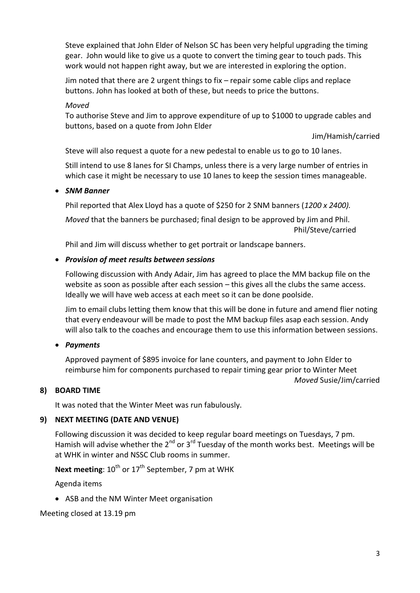Steve explained that John Elder of Nelson SC has been very helpful upgrading the timing gear. John would like to give us a quote to convert the timing gear to touch pads. This work would not happen right away, but we are interested in exploring the option.

Jim noted that there are 2 urgent things to fix – repair some cable clips and replace buttons. John has looked at both of these, but needs to price the buttons.

#### *Moved*

To authorise Steve and Jim to approve expenditure of up to \$1000 to upgrade cables and buttons, based on a quote from John Elder

Jim/Hamish/carried

*Moved* Susie/Jim/carried

Steve will also request a quote for a new pedestal to enable us to go to 10 lanes.

Still intend to use 8 lanes for SI Champs, unless there is a very large number of entries in which case it might be necessary to use 10 lanes to keep the session times manageable.

#### *SNM Banner*

Phil reported that Alex Lloyd has a quote of \$250 for 2 SNM banners (*1200 x 2400).*

*Moved* that the banners be purchased; final design to be approved by Jim and Phil. Phil/Steve/carried

Phil and Jim will discuss whether to get portrait or landscape banners.

#### *Provision of meet results between sessions*

Following discussion with Andy Adair, Jim has agreed to place the MM backup file on the website as soon as possible after each session – this gives all the clubs the same access. Ideally we will have web access at each meet so it can be done poolside.

Jim to email clubs letting them know that this will be done in future and amend flier noting that every endeavour will be made to post the MM backup files asap each session. Andy will also talk to the coaches and encourage them to use this information between sessions.

## *Payments*

Approved payment of \$895 invoice for lane counters, and payment to John Elder to reimburse him for components purchased to repair timing gear prior to Winter Meet

#### **8) BOARD TIME**

It was noted that the Winter Meet was run fabulously.

## **9) NEXT MEETING (DATE AND VENUE)**

Following discussion it was decided to keep regular board meetings on Tuesdays, 7 pm. Hamish will advise whether the  $2^{nd}$  or  $3^{rd}$  Tuesday of the month works best. Meetings will be at WHK in winter and NSSC Club rooms in summer.

**Next meeting:** 10<sup>th</sup> or 17<sup>th</sup> September, 7 pm at WHK

Agenda items

ASB and the NM Winter Meet organisation

Meeting closed at 13.19 pm